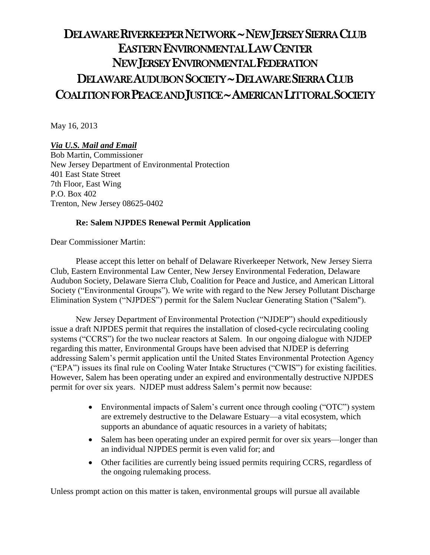# DELAWARE RIVERKEEPER NETWORK ~ NEW JERSEY SIERRA CLUB EASTERN ENVIRONMENTAL LAW CENTER NEW JERSEY ENVIRONMENTAL FEDERATION DELAWARE AUDUBON SOCIETY ~ DELAWARE SIERRA CLUB COALITION FOR PEACE AND JUSTICE ~ AMERICAN LITTORAL SOCIETY

May 16, 2013

# *Via U.S. Mail and Email*

Bob Martin, Commissioner New Jersey Department of Environmental Protection 401 East State Street 7th Floor, East Wing P.O. Box 402 Trenton, New Jersey 08625-0402

## **Re: Salem NJPDES Renewal Permit Application**

Dear Commissioner Martin:

Please accept this letter on behalf of Delaware Riverkeeper Network, New Jersey Sierra Club, Eastern Environmental Law Center, New Jersey Environmental Federation, Delaware Audubon Society, Delaware Sierra Club, Coalition for Peace and Justice, and American Littoral Society ("Environmental Groups"). We write with regard to the New Jersey Pollutant Discharge Elimination System ("NJPDES") permit for the Salem Nuclear Generating Station ("Salem").

New Jersey Department of Environmental Protection ("NJDEP") should expeditiously issue a draft NJPDES permit that requires the installation of closed-cycle recirculating cooling systems ("CCRS") for the two nuclear reactors at Salem. In our ongoing dialogue with NJDEP regarding this matter, Environmental Groups have been advised that NJDEP is deferring addressing Salem's permit application until the United States Environmental Protection Agency ("EPA") issues its final rule on Cooling Water Intake Structures ("CWIS") for existing facilities. However, Salem has been operating under an expired and environmentally destructive NJPDES permit for over six years. NJDEP must address Salem's permit now because:

- Environmental impacts of Salem's current once through cooling ("OTC") system are extremely destructive to the Delaware Estuary—a vital ecosystem, which supports an abundance of aquatic resources in a variety of habitats;
- Salem has been operating under an expired permit for over six years—longer than an individual NJPDES permit is even valid for; and
- Other facilities are currently being issued permits requiring CCRS, regardless of the ongoing rulemaking process.

Unless prompt action on this matter is taken, environmental groups will pursue all available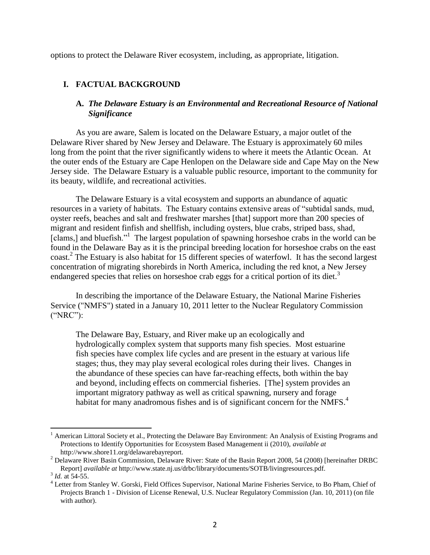options to protect the Delaware River ecosystem, including, as appropriate, litigation.

# **I. FACTUAL BACKGROUND**

## **A.** *The Delaware Estuary is an Environmental and Recreational Resource of National Significance*

As you are aware, Salem is located on the Delaware Estuary, a major outlet of the Delaware River shared by New Jersey and Delaware. The Estuary is approximately 60 miles long from the point that the river significantly widens to where it meets the Atlantic Ocean. At the outer ends of the Estuary are Cape Henlopen on the Delaware side and Cape May on the New Jersey side. The Delaware Estuary is a valuable public resource, important to the community for its beauty, wildlife, and recreational activities.

The Delaware Estuary is a vital ecosystem and supports an abundance of aquatic resources in a variety of habitats. The Estuary contains extensive areas of "subtidal sands, mud, oyster reefs, beaches and salt and freshwater marshes [that] support more than 200 species of migrant and resident finfish and shellfish, including oysters, blue crabs, striped bass, shad, [clams,] and bluefish."<sup>1</sup> The largest population of spawning horseshoe crabs in the world can be found in the Delaware Bay as it is the principal breeding location for horseshoe crabs on the east coast.<sup>2</sup> The Estuary is also habitat for 15 different species of waterfowl. It has the second largest concentration of migrating shorebirds in North America, including the red knot, a New Jersey endangered species that relies on horseshoe crab eggs for a critical portion of its diet.<sup>3</sup>

In describing the importance of the Delaware Estuary, the National Marine Fisheries Service ("NMFS") stated in a January 10, 2011 letter to the Nuclear Regulatory Commission ("NRC"):

The Delaware Bay, Estuary, and River make up an ecologically and hydrologically complex system that supports many fish species. Most estuarine fish species have complex life cycles and are present in the estuary at various life stages; thus, they may play several ecological roles during their lives. Changes in the abundance of these species can have far-reaching effects, both within the bay and beyond, including effects on commercial fisheries. [The] system provides an important migratory pathway as well as critical spawning, nursery and forage habitat for many anadromous fishes and is of significant concern for the NMFS. $4$ 

American Littoral Society et al., Protecting the Delaware Bay Environment: An Analysis of Existing Programs and Protections to Identify Opportunities for Ecosystem Based Management ii (2010), *available at* http://www.shore11.org/delawarebayreport.

<sup>2</sup> Delaware River Basin Commission, Delaware River: State of the Basin Report 2008, 54 (2008) [hereinafter DRBC Report] *available at* http://www.state.nj.us/drbc/library/documents/SOTB/livingresources.pdf.

<sup>&</sup>lt;sup>3</sup> *Id.* at 54-55.

<sup>4</sup> Letter from Stanley W. Gorski, Field Offices Supervisor, National Marine Fisheries Service, to Bo Pham, Chief of Projects Branch 1 - Division of License Renewal, U.S. Nuclear Regulatory Commission (Jan. 10, 2011) (on file with author).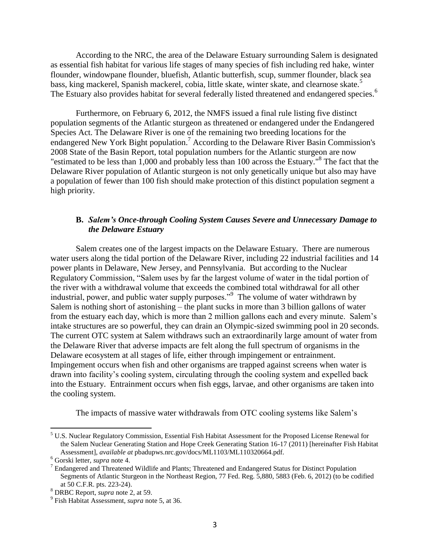According to the NRC, the area of the Delaware Estuary surrounding Salem is designated as essential fish habitat for various life stages of many species of fish including red hake, winter flounder, windowpane flounder, bluefish, Atlantic butterfish, scup, summer flounder, black sea bass, king mackerel, Spanish mackerel, cobia, little skate, winter skate, and clearnose skate.<sup>5</sup> The Estuary also provides habitat for several federally listed threatened and endangered species.<sup>6</sup>

Furthermore, on February 6, 2012, the NMFS issued a final rule listing five distinct population segments of the Atlantic sturgeon as threatened or endangered under the Endangered Species Act. The Delaware River is one of the remaining two breeding locations for the endangered New York Bight population.<sup>7</sup> According to the Delaware River Basin Commission's 2008 State of the Basin Report, total population numbers for the Atlantic sturgeon are now "estimated to be less than 1,000 and probably less than 100 across the Estuary."<sup>8</sup> The fact that the Delaware River population of Atlantic sturgeon is not only genetically unique but also may have a population of fewer than 100 fish should make protection of this distinct population segment a high priority.

### **B.** *Salem's Once-through Cooling System Causes Severe and Unnecessary Damage to the Delaware Estuary*

Salem creates one of the largest impacts on the Delaware Estuary. There are numerous water users along the tidal portion of the Delaware River, including 22 industrial facilities and 14 power plants in Delaware, New Jersey, and Pennsylvania. But according to the Nuclear Regulatory Commission, "Salem uses by far the largest volume of water in the tidal portion of the river with a withdrawal volume that exceeds the combined total withdrawal for all other industrial, power, and public water supply purposes."<sup>9</sup> The volume of water withdrawn by Salem is nothing short of astonishing – the plant sucks in more than 3 billion gallons of water from the estuary each day, which is more than 2 million gallons each and every minute. Salem's intake structures are so powerful, they can drain an Olympic-sized swimming pool in 20 seconds. The current OTC system at Salem withdraws such an extraordinarily large amount of water from the Delaware River that adverse impacts are felt along the full spectrum of organisms in the Delaware ecosystem at all stages of life, either through impingement or entrainment. Impingement occurs when fish and other organisms are trapped against screens when water is drawn into facility's cooling system, circulating through the cooling system and expelled back into the Estuary. Entrainment occurs when fish eggs, larvae, and other organisms are taken into the cooling system.

The impacts of massive water withdrawals from OTC cooling systems like Salem's

<sup>&</sup>lt;sup>5</sup> U.S. Nuclear Regulatory Commission, Essential Fish Habitat Assessment for the Proposed License Renewal for the Salem Nuclear Generating Station and Hope Creek Generating Station 16-17 (2011) [hereinafter Fish Habitat Assessment], *available at* pbadupws.nrc.gov/docs/ML1103/ML110320664.pdf.

<sup>6</sup> Gorski letter, *supra* note 4.

 $<sup>7</sup>$  Endangered and Threatened Wildlife and Plants; Threatened and Endangered Status for Distinct Population</sup> Segments of Atlantic Sturgeon in the Northeast Region, 77 Fed. Reg. 5,880, 5883 (Feb. 6, 2012) (to be codified at 50 C.F.R. pts. 223-24).

<sup>8</sup> DRBC Report, *supra* note 2, at 59.

<sup>9</sup> Fish Habitat Assessment, *supra* note 5, at 36.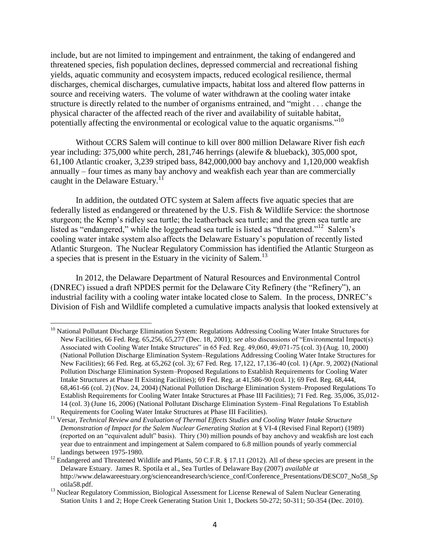include, but are not limited to impingement and entrainment, the taking of endangered and threatened species, fish population declines, depressed commercial and recreational fishing yields, aquatic community and ecosystem impacts, reduced ecological resilience, thermal discharges, chemical discharges, cumulative impacts, habitat loss and altered flow patterns in source and receiving waters. The volume of water withdrawn at the cooling water intake structure is directly related to the number of organisms entrained, and "might . . . change the physical character of the affected reach of the river and availability of suitable habitat, potentially affecting the environmental or ecological value to the aquatic organisms."<sup>10</sup>

Without CCRS Salem will continue to kill over 800 million Delaware River fish *each* year including: 375,000 white perch, 281,746 herrings (alewife & blueback), 305,000 spot, 61,100 Atlantic croaker, 3,239 striped bass, 842,000,000 bay anchovy and 1,120,000 weakfish annually – four times as many bay anchovy and weakfish each year than are commercially caught in the Delaware Estuary.<sup>11</sup>

In addition, the outdated OTC system at Salem affects five aquatic species that are federally listed as endangered or threatened by the U.S. Fish & Wildlife Service: the shortnose sturgeon; the Kemp's ridley sea turtle; the leatherback sea turtle; and the green sea turtle are listed as "endangered," while the loggerhead sea turtle is listed as "threatened."<sup>12</sup> Salem's cooling water intake system also affects the Delaware Estuary's population of recently listed Atlantic Sturgeon. The Nuclear Regulatory Commission has identified the Atlantic Sturgeon as a species that is present in the Estuary in the vicinity of Salem.<sup>13</sup>

In 2012, the Delaware Department of Natural Resources and Environmental Control (DNREC) issued a draft NPDES permit for the Delaware City Refinery (the "Refinery"), an industrial facility with a cooling water intake located close to Salem. In the process, DNREC's Division of Fish and Wildlife completed a cumulative impacts analysis that looked extensively at

<sup>&</sup>lt;sup>10</sup> National Pollutant Discharge Elimination System: Regulations Addressing Cooling Water Intake Structures for New Facilities, 66 Fed. Reg. 65,256, 65,277 (Dec. 18, 2001); *see also* discussions of "Environmental Impact(s) Associated with Cooling Water Intake Structures" in 65 Fed. Reg. 49,060, 49,071-75 (col. 3) (Aug. 10, 2000) (National Pollution Discharge Elimination System–Regulations Addressing Cooling Water Intake Structures for New Facilities); 66 Fed. Reg. at 65,262 (col. 3); 67 Fed. Reg. 17,122, 17,136-40 (col. 1) (Apr. 9, 2002) (National Pollution Discharge Elimination System–Proposed Regulations to Establish Requirements for Cooling Water Intake Structures at Phase II Existing Facilities); 69 Fed. Reg. at 41,586-90 (col. 1); 69 Fed. Reg. 68,444, 68,461-66 (col. 2) (Nov. 24, 2004) (National Pollution Discharge Elimination System–Proposed Regulations To Establish Requirements for Cooling Water Intake Structures at Phase III Facilities); 71 Fed. Reg. 35,006, 35,012- 14 (col. 3) (June 16, 2006) (National Pollutant Discharge Elimination System–Final Regulations To Establish Requirements for Cooling Water Intake Structures at Phase III Facilities).

<sup>11</sup> Versar, *Technical Review and Evaluation of Thermal Effects Studies and Cooling Water Intake Structure Demonstration of Impact for the Salem Nuclear Generating Station* at § VI-4 (Revised Final Report) (1989) (reported on an "equivalent adult" basis). Thiry (30) million pounds of bay anchovy and weakfish are lost each year due to entrainment and impingement at Salem compared to 6.8 million pounds of yearly commercial landings between 1975-1980.

<sup>&</sup>lt;sup>12</sup> Endangered and Threatened Wildlife and Plants, 50 C.F.R. § 17.11 (2012). All of these species are present in the Delaware Estuary. James R. Spotila et al., Sea Turtles of Delaware Bay (2007) *available at* http://www.delawareestuary.org/scienceandresearch/science\_conf/Conference\_Presentations/DESC07\_No58\_Sp otila58.pdf.

<sup>&</sup>lt;sup>13</sup> Nuclear Regulatory Commission, Biological Assessment for License Renewal of Salem Nuclear Generating Station Units 1 and 2; Hope Creek Generating Station Unit 1, Dockets 50-272; 50-311; 50-354 (Dec. 2010).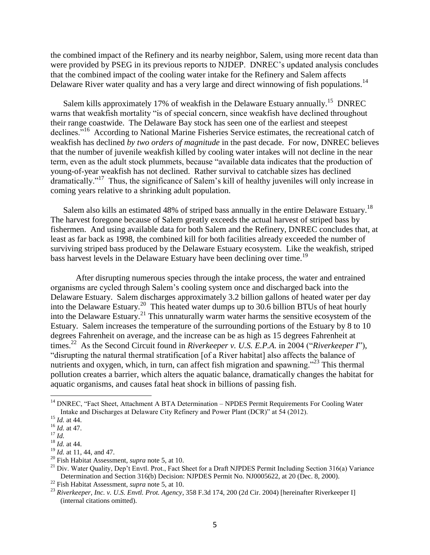the combined impact of the Refinery and its nearby neighbor, Salem, using more recent data than were provided by PSEG in its previous reports to NJDEP. DNREC's updated analysis concludes that the combined impact of the cooling water intake for the Refinery and Salem affects Delaware River water quality and has a very large and direct winnowing of fish populations.<sup>14</sup>

Salem kills approximately 17% of weakfish in the Delaware Estuary annually.<sup>15</sup> DNREC warns that weakfish mortality "is of special concern, since weakfish have declined throughout their range coastwide. The Delaware Bay stock has seen one of the earliest and steepest declines."<sup>16</sup> According to National Marine Fisheries Service estimates, the recreational catch of weakfish has declined *by two orders of magnitude* in the past decade. For now, DNREC believes that the number of juvenile weakfish killed by cooling water intakes will not decline in the near term, even as the adult stock plummets, because "available data indicates that the production of young-of-year weakfish has not declined. Rather survival to catchable sizes has declined dramatically."<sup>17</sup> Thus, the significance of Salem's kill of healthy juveniles will only increase in coming years relative to a shrinking adult population.

Salem also kills an estimated 48% of striped bass annually in the entire Delaware Estuary.<sup>18</sup> The harvest foregone because of Salem greatly exceeds the actual harvest of striped bass by fishermen. And using available data for both Salem and the Refinery, DNREC concludes that, at least as far back as 1998, the combined kill for both facilities already exceeded the number of surviving striped bass produced by the Delaware Estuary ecosystem. Like the weakfish, striped bass harvest levels in the Delaware Estuary have been declining over time.<sup>19</sup>

After disrupting numerous species through the intake process, the water and entrained organisms are cycled through Salem's cooling system once and discharged back into the Delaware Estuary. Salem discharges approximately 3.2 billion gallons of heated water per day into the Delaware Estuary.<sup>20</sup> This heated water dumps up to 30.6 billion BTUs of heat hourly into the Delaware Estuary.<sup>21</sup> This unnaturally warm water harms the sensitive ecosystem of the Estuary. Salem increases the temperature of the surrounding portions of the Estuary by 8 to 10 degrees Fahrenheit on average, and the increase can be as high as 15 degrees Fahrenheit at times.<sup>22</sup> As the Second Circuit found in *Riverkeeper v. U.S. E.P.A.* in 2004 ("*Riverkeeper I*"), "disrupting the natural thermal stratification [of a River habitat] also affects the balance of nutrients and oxygen, which, in turn, can affect fish migration and spawning.<sup> $23$ </sup> This thermal pollution creates a barrier, which alters the aquatic balance, dramatically changes the habitat for aquatic organisms, and causes fatal heat shock in billions of passing fish.

<sup>&</sup>lt;sup>14</sup> DNREC, "Fact Sheet, Attachment A BTA Determination – NPDES Permit Requirements For Cooling Water Intake and Discharges at Delaware City Refinery and Power Plant (DCR)" at 54 (2012).

<sup>15</sup> *Id.* at 44.

<sup>16</sup> *Id.* at 47.

<sup>17</sup> *Id.*

<sup>18</sup> *Id.* at 44.

<sup>19</sup> *Id.* at 11, 44, and 47.

<sup>20</sup> Fish Habitat Assessment, *supra* note 5, at 10.

<sup>&</sup>lt;sup>21</sup> Div. Water Quality, Dep't Envtl. Prot., Fact Sheet for a Draft NJPDES Permit Including Section 316(a) Variance Determination and Section 316(b) Decision: NJPDES Permit No. NJ0005622, at 20 (Dec. 8, 2000).

<sup>22</sup> Fish Habitat Assessment, *supra* note 5, at 10.

<sup>23</sup> *Riverkeeper, Inc. v. U.S. Envtl. Prot. Agency*, 358 F.3d 174, 200 (2d Cir. 2004) [hereinafter Riverkeeper I] (internal citations omitted).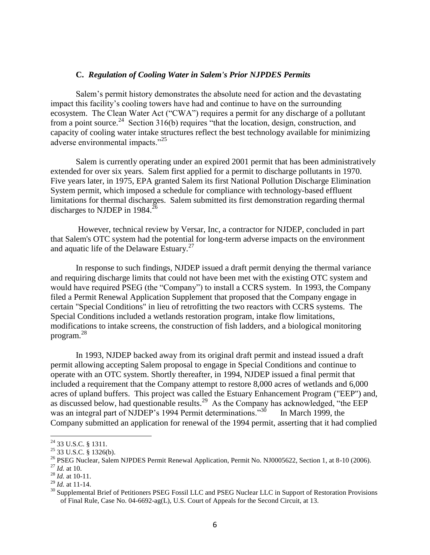#### **C.** *Regulation of Cooling Water in Salem's Prior NJPDES Permits*

Salem's permit history demonstrates the absolute need for action and the devastating impact this facility's cooling towers have had and continue to have on the surrounding ecosystem. The Clean Water Act ("CWA") requires a permit for any discharge of a pollutant from a point source.<sup>24</sup> Section 316(b) requires "that the location, design, construction, and capacity of cooling water intake structures reflect the best technology available for minimizing adverse environmental impacts."<sup>25</sup>

Salem is currently operating under an expired 2001 permit that has been administratively extended for over six years. Salem first applied for a permit to discharge pollutants in 1970. Five years later, in 1975, EPA granted Salem its first National Pollution Discharge Elimination System permit, which imposed a schedule for compliance with technology-based effluent limitations for thermal discharges. Salem submitted its first demonstration regarding thermal discharges to NJDEP in  $1984.<sup>26</sup>$ 

However, technical review by Versar, Inc, a contractor for NJDEP, concluded in part that Salem's OTC system had the potential for long-term adverse impacts on the environment and aquatic life of the Delaware Estuary.<sup>27</sup>

In response to such findings, NJDEP issued a draft permit denying the thermal variance and requiring discharge limits that could not have been met with the existing OTC system and would have required PSEG (the "Company") to install a CCRS system. In 1993, the Company filed a Permit Renewal Application Supplement that proposed that the Company engage in certain "Special Conditions" in lieu of retrofitting the two reactors with CCRS systems. The Special Conditions included a wetlands restoration program, intake flow limitations, modifications to intake screens, the construction of fish ladders, and a biological monitoring program.<sup>28</sup>

In 1993, NJDEP backed away from its original draft permit and instead issued a draft permit allowing accepting Salem proposal to engage in Special Conditions and continue to operate with an OTC system. Shortly thereafter, in 1994, NJDEP issued a final permit that included a requirement that the Company attempt to restore 8,000 acres of wetlands and 6,000 acres of upland buffers. This project was called the Estuary Enhancement Program ("EEP") and, as discussed below, had questionable results.<sup>29</sup> As the Company has acknowledged, "the EEP was an integral part of NJDEP's 1994 Permit determinations. $^{35}$  In March 1999, the Company submitted an application for renewal of the 1994 permit, asserting that it had complied

 $^{24}$  33 U.S.C. § 1311.

<sup>25</sup> 33 U.S.C. § 1326(b).

<sup>&</sup>lt;sup>26</sup> PSEG Nuclear, Salem NJPDES Permit Renewal Application, Permit No. NJ0005622, Section 1, at 8-10 (2006).

<sup>27</sup> *Id.* at 10.

<sup>28</sup> *Id.* at 10-11.

<sup>29</sup> *Id.* at 11-14.

<sup>&</sup>lt;sup>30</sup> Supplemental Brief of Petitioners PSEG Fossil LLC and PSEG Nuclear LLC in Support of Restoration Provisions of Final Rule, Case No. 04-6692-ag(L), U.S. Court of Appeals for the Second Circuit, at 13.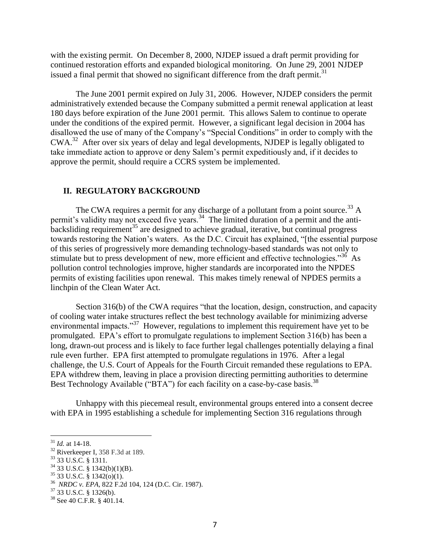with the existing permit. On December 8, 2000, NJDEP issued a draft permit providing for continued restoration efforts and expanded biological monitoring. On June 29, 2001 NJDEP issued a final permit that showed no significant difference from the draft permit.<sup>31</sup>

The June 2001 permit expired on July 31, 2006. However, NJDEP considers the permit administratively extended because the Company submitted a permit renewal application at least 180 days before expiration of the June 2001 permit. This allows Salem to continue to operate under the conditions of the expired permit. However, a significant legal decision in 2004 has disallowed the use of many of the Company's "Special Conditions" in order to comply with the CWA.<sup>32</sup> After over six years of delay and legal developments, NJDEP is legally obligated to take immediate action to approve or deny Salem's permit expeditiously and, if it decides to approve the permit, should require a CCRS system be implemented.

#### **II. REGULATORY BACKGROUND**

The CWA requires a permit for any discharge of a pollutant from a point source.<sup>33</sup> A permit's validity may not exceed five years.<sup>34</sup> The limited duration of a permit and the antibacksliding requirement<sup>35</sup> are designed to achieve gradual, iterative, but continual progress towards restoring the Nation's waters. As the D.C. Circuit has explained, "[the essential purpose of this series of progressively more demanding technology-based standards was not only to stimulate but to press development of new, more efficient and effective technologies."<sup>36</sup> As pollution control technologies improve, higher standards are incorporated into the NPDES permits of existing facilities upon renewal. This makes timely renewal of NPDES permits a linchpin of the Clean Water Act.

Section 316(b) of the CWA requires "that the location, design, construction, and capacity of cooling water intake structures reflect the best technology available for minimizing adverse environmental impacts."<sup>37</sup> However, regulations to implement this requirement have yet to be promulgated. EPA's effort to promulgate regulations to implement Section 316(b) has been a long, drawn-out process and is likely to face further legal challenges potentially delaying a final rule even further. EPA first attempted to promulgate regulations in 1976. After a legal challenge, the U.S. Court of Appeals for the Fourth Circuit remanded these regulations to EPA. EPA withdrew them, leaving in place a provision directing permitting authorities to determine Best Technology Available ("BTA") for each facility on a case-by-case basis.<sup>38</sup>

Unhappy with this piecemeal result, environmental groups entered into a consent decree with EPA in 1995 establishing a schedule for implementing Section 316 regulations through

<sup>31</sup> *Id.* at 14-18.

 $32$  Riverkeeper I, 358 F.3d at 189.

<sup>33</sup> 33 U.S.C. § 1311.

<sup>34</sup> 33 U.S.C. § 1342(b)(1)(B).

 $35$  33 U.S.C. § 1342(o)(1).

<sup>36</sup> *NRDC v. EPA,* 822 F.2d 104, 124 (D.C. Cir. 1987).

 $37$  33 U.S.C. § 1326(b).

<sup>&</sup>lt;sup>38</sup> See 40 C.F.R. § 401.14.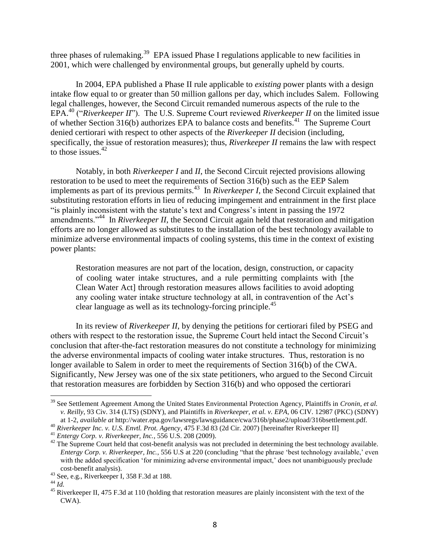three phases of rulemaking.<sup>39</sup> EPA issued Phase I regulations applicable to new facilities in 2001, which were challenged by environmental groups, but generally upheld by courts.

In 2004, EPA published a Phase II rule applicable to *existing* power plants with a design intake flow equal to or greater than 50 million gallons per day, which includes Salem. Following legal challenges, however, the Second Circuit remanded numerous aspects of the rule to the EPA.<sup>40</sup> ("*Riverkeeper II*"). The U.S. Supreme Court reviewed *Riverkeeper II* on the limited issue of whether Section 316(b) authorizes EPA to balance costs and benefits.<sup>41</sup> The Supreme Court denied certiorari with respect to other aspects of the *Riverkeeper II* decision (including, specifically, the issue of restoration measures); thus, *Riverkeeper II* remains the law with respect to those issues. $42$ 

Notably, in both *Riverkeeper I* and *II*, the Second Circuit rejected provisions allowing restoration to be used to meet the requirements of Section 316(b) such as the EEP Salem implements as part of its previous permits.<sup>43</sup> In *Riverkeeper I*, the Second Circuit explained that substituting restoration efforts in lieu of reducing impingement and entrainment in the first place "is plainly inconsistent with the statute's text and Congress's intent in passing the 1972 amendments."<sup>44</sup> In *Riverkeeper II*, the Second Circuit again held that restoration and mitigation efforts are no longer allowed as substitutes to the installation of the best technology available to minimize adverse environmental impacts of cooling systems, this time in the context of existing power plants:

Restoration measures are not part of the location, design, construction, or capacity of cooling water intake structures, and a rule permitting complaints with [the Clean Water Act] through restoration measures allows facilities to avoid adopting any cooling water intake structure technology at all, in contravention of the Act's clear language as well as its technology-forcing principle.<sup>45</sup>

In its review of *Riverkeeper II*, by denying the petitions for certiorari filed by PSEG and others with respect to the restoration issue, the Supreme Court held intact the Second Circuit's conclusion that after-the-fact restoration measures do not constitute a technology for minimizing the adverse environmental impacts of cooling water intake structures. Thus, restoration is no longer available to Salem in order to meet the requirements of Section 316(b) of the CWA. Significantly, New Jersey was one of the six state petitioners, who argued to the Second Circuit that restoration measures are forbidden by Section 316(b) and who opposed the certiorari

<sup>&</sup>lt;sup>39</sup> See Settlement Agreement Among the United States Environmental Protection Agency, Plaintiffs in *Cronin, et al. v. Reilly*, 93 Civ. 314 (LTS) (SDNY), and Plaintiffs in *Riverkeeper, et al. v. EPA*, 06 CIV. 12987 (PKC) (SDNY) at 1-2, *available at* http://water.epa.gov/lawsregs/lawsguidance/cwa/316b/phase2/upload/316bsettlement.pdf.

<sup>40</sup> *Riverkeeper Inc. v. U.S. Envtl. Prot. Agency*, 475 F.3d 83 (2d Cir. 2007) [hereinafter Riverkeeper II]

<sup>41</sup> *Entergy Corp. v. Riverkeeper, Inc.*, 556 U.S. 208 (2009).

 $42$  The Supreme Court held that cost-benefit analysis was not precluded in determining the best technology available. *Entergy Corp. v. Riverkeeper, Inc.*, 556 U.S at 220 (concluding "that the phrase 'best technology available,' even with the added specification 'for minimizing adverse environmental impact,' does not unambiguously preclude cost-benefit analysis).

<sup>43</sup> See, e.g., Riverkeeper I, 358 F.3d at 188.

<sup>44</sup> *Id.*

<sup>&</sup>lt;sup>45</sup> Riverkeeper II, 475 F.3d at 110 (holding that restoration measures are plainly inconsistent with the text of the CWA).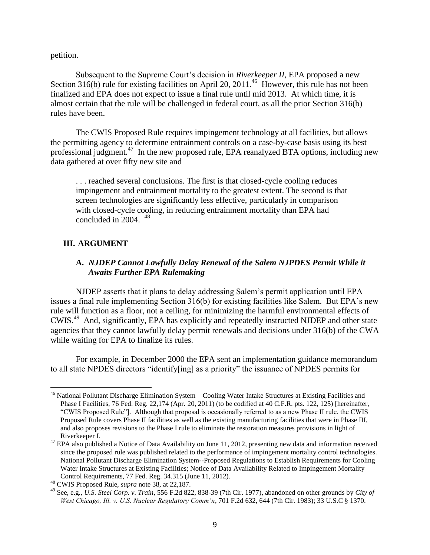petition.

Subsequent to the Supreme Court's decision in *Riverkeeper II*, EPA proposed a new Section 316(b) rule for existing facilities on April 20,  $2011<sup>46</sup>$  However, this rule has not been finalized and EPA does not expect to issue a final rule until mid 2013. At which time, it is almost certain that the rule will be challenged in federal court, as all the prior Section 316(b) rules have been.

The CWIS Proposed Rule requires impingement technology at all facilities, but allows the permitting agency to determine entrainment controls on a case-by-case basis using its best professional judgment.<sup>47</sup> In the new proposed rule, EPA reanalyzed BTA options, including new data gathered at over fifty new site and

. . . reached several conclusions. The first is that closed-cycle cooling reduces impingement and entrainment mortality to the greatest extent. The second is that screen technologies are significantly less effective, particularly in comparison with closed-cycle cooling, in reducing entrainment mortality than EPA had concluded in 2004.  $48$ 

#### **III. ARGUMENT**

 $\overline{a}$ 

## **A.** *NJDEP Cannot Lawfully Delay Renewal of the Salem NJPDES Permit While it Awaits Further EPA Rulemaking*

NJDEP asserts that it plans to delay addressing Salem's permit application until EPA issues a final rule implementing Section 316(b) for existing facilities like Salem. But EPA's new rule will function as a floor, not a ceiling, for minimizing the harmful environmental effects of CWIS.<sup>49</sup> And, significantly, EPA has explicitly and repeatedly instructed NJDEP and other state agencies that they cannot lawfully delay permit renewals and decisions under 316(b) of the CWA while waiting for EPA to finalize its rules.

For example, in December 2000 the EPA sent an implementation guidance memorandum to all state NPDES directors "identify[ing] as a priority" the issuance of NPDES permits for

<sup>&</sup>lt;sup>46</sup> National Pollutant Discharge Elimination System—Cooling Water Intake Structures at Existing Facilities and Phase I Facilities, 76 Fed. Reg. 22,174 (Apr. 20, 2011) (to be codified at 40 C.F.R. pts. 122, 125) [hereinafter, "CWIS Proposed Rule"]. Although that proposal is occasionally referred to as a new Phase II rule, the CWIS Proposed Rule covers Phase II facilities as well as the existing manufacturing facilities that were in Phase III, and also proposes revisions to the Phase I rule to eliminate the restoration measures provisions in light of Riverkeeper I.

 $47$  EPA also published a Notice of Data Availability on June 11, 2012, presenting new data and information received since the proposed rule was published related to the performance of impingement mortality control technologies. National Pollutant Discharge Elimination System--Proposed Regulations to Establish Requirements for Cooling Water Intake Structures at Existing Facilities; Notice of Data Availability Related to Impingement Mortality Control Requirements, 77 Fed. Reg. 34.315 (June 11, 2012).

<sup>48</sup> CWIS Proposed Rule, *supra* note 38, at 22,187.

<sup>49</sup> See, e.g., *U.S. Steel Corp. v. Train*, 556 F.2d 822, 838-39 (7th Cir. 1977), abandoned on other grounds by *City of West Chicago, Ill. v. U.S. Nuclear Regulatory Comm'n*, 701 F.2d 632, 644 (7th Cir. 1983); 33 U.S.C § 1370.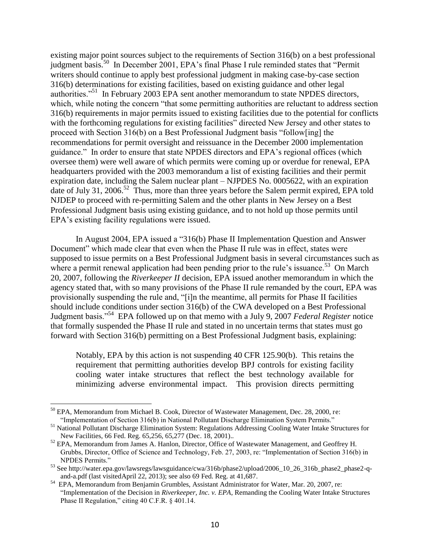existing major point sources subject to the requirements of Section 316(b) on a best professional judgment basis.<sup>50</sup> In December 2001, EPA's final Phase I rule reminded states that "Permit" writers should continue to apply best professional judgment in making case-by-case section 316(b) determinations for existing facilities, based on existing guidance and other legal authorities."<sup>51</sup> In February 2003 EPA sent another memorandum to state NPDES directors, which, while noting the concern "that some permitting authorities are reluctant to address section 316(b) requirements in major permits issued to existing facilities due to the potential for conflicts with the forthcoming regulations for existing facilities" directed New Jersey and other states to proceed with Section 316(b) on a Best Professional Judgment basis "follow[ing] the recommendations for permit oversight and reissuance in the December 2000 implementation guidance." In order to ensure that state NPDES directors and EPA's regional offices (which oversee them) were well aware of which permits were coming up or overdue for renewal, EPA headquarters provided with the 2003 memorandum a list of existing facilities and their permit expiration date, including the Salem nuclear plant – NJPDES No. 0005622, with an expiration date of July 31, 2006.<sup>52</sup> Thus, more than three years before the Salem permit expired, EPA told NJDEP to proceed with re-permitting Salem and the other plants in New Jersey on a Best Professional Judgment basis using existing guidance, and to not hold up those permits until EPA's existing facility regulations were issued.

In August 2004, EPA issued a "316(b) Phase II Implementation Question and Answer Document" which made clear that even when the Phase II rule was in effect, states were supposed to issue permits on a Best Professional Judgment basis in several circumstances such as where a permit renewal application had been pending prior to the rule's issuance.<sup>53</sup> On March 20, 2007, following the *Riverkeeper II* decision, EPA issued another memorandum in which the agency stated that, with so many provisions of the Phase II rule remanded by the court, EPA was provisionally suspending the rule and, "[i]n the meantime, all permits for Phase II facilities should include conditions under section 316(b) of the CWA developed on a Best Professional Judgment basis."<sup>54</sup> EPA followed up on that memo with a July 9, 2007 *Federal Register* notice that formally suspended the Phase II rule and stated in no uncertain terms that states must go forward with Section 316(b) permitting on a Best Professional Judgment basis, explaining:

Notably, EPA by this action is not suspending 40 CFR 125.90(b). This retains the requirement that permitting authorities develop BPJ controls for existing facility cooling water intake structures that reflect the best technology available for minimizing adverse environmental impact. This provision directs permitting

 $50$  EPA, Memorandum from Michael B. Cook, Director of Wastewater Management, Dec. 28, 2000, re: "Implementation of Section 316(b) in National Pollutant Discharge Elimination System Permits."

<sup>51</sup> National Pollutant Discharge Elimination System: Regulations Addressing Cooling Water Intake Structures for New Facilities, 66 Fed. Reg. 65,256, 65,277 (Dec. 18, 2001)..

<sup>&</sup>lt;sup>52</sup> EPA, Memorandum from James A. Hanlon, Director, Office of Wastewater Management, and Geoffrey H. Grubbs, Director, Office of Science and Technology, Feb. 27, 2003, re: "Implementation of Section 316(b) in NPDES Permits."

<sup>53</sup> See http://water.epa.gov/lawsregs/lawsguidance/cwa/316b/phase2/upload/2006\_10\_26\_316b\_phase2\_phase2-qand-a.pdf (last visitedApril 22, 2013); see also 69 Fed. Reg. at 41,687.

<sup>&</sup>lt;sup>54</sup> EPA, Memorandum from Benjamin Grumbles, Assistant Administrator for Water, Mar. 20, 2007, re: "Implementation of the Decision in *Riverkeeper, Inc. v. EPA*, Remanding the Cooling Water Intake Structures Phase II Regulation," citing 40 C.F.R. § 401.14.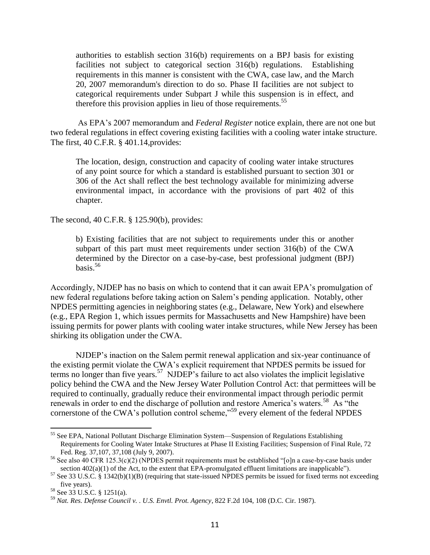authorities to establish section 316(b) requirements on a BPJ basis for existing facilities not subject to categorical section 316(b) regulations. Establishing requirements in this manner is consistent with the CWA, case law, and the March 20, 2007 memorandum's direction to do so. Phase II facilities are not subject to categorical requirements under Subpart J while this suspension is in effect, and therefore this provision applies in lieu of those requirements.<sup>55</sup>

As EPA's 2007 memorandum and *Federal Register* notice explain, there are not one but two federal regulations in effect covering existing facilities with a cooling water intake structure. The first, 40 C.F.R. § 401.14,provides:

The location, design, construction and capacity of cooling water intake structures of any point source for which a standard is established pursuant to section 301 or 306 of the Act shall reflect the best technology available for minimizing adverse environmental impact, in accordance with the provisions of part 402 of this chapter.

The second, 40 C.F.R. § 125.90(b), provides:

b) Existing facilities that are not subject to requirements under this or another subpart of this part must meet requirements under section 316(b) of the CWA determined by the Director on a case-by-case, best professional judgment (BPJ)  $hasis.56$ 

Accordingly, NJDEP has no basis on which to contend that it can await EPA's promulgation of new federal regulations before taking action on Salem's pending application. Notably, other NPDES permitting agencies in neighboring states (e.g., Delaware, New York) and elsewhere (e.g., EPA Region 1, which issues permits for Massachusetts and New Hampshire) have been issuing permits for power plants with cooling water intake structures, while New Jersey has been shirking its obligation under the CWA.

NJDEP's inaction on the Salem permit renewal application and six-year continuance of the existing permit violate the CWA's explicit requirement that NPDES permits be issued for terms no longer than five years.<sup>57</sup> NJDEP's failure to act also violates the implicit legislative policy behind the CWA and the New Jersey Water Pollution Control Act: that permittees will be required to continually, gradually reduce their environmental impact through periodic permit renewals in order to end the discharge of pollution and restore America's waters.<sup>58</sup> As "the cornerstone of the CWA's pollution control scheme,"<sup>59</sup> every element of the federal NPDES

<sup>&</sup>lt;sup>55</sup> See EPA, National Pollutant Discharge Elimination System—Suspension of Regulations Establishing Requirements for Cooling Water Intake Structures at Phase II Existing Facilities; Suspension of Final Rule, 72 Fed. Reg. 37,107, 37,108 (July 9, 2007).

<sup>56</sup> See also 40 CFR 125.3(c)(2) (NPDES permit requirements must be established "[o]n a case-by-case basis under section  $402(a)(1)$  of the Act, to the extent that EPA-promulgated effluent limitations are inapplicable").

 $57$  See 33 U.S.C. § 1342(b)(1)(B) (requiring that state-issued NPDES permits be issued for fixed terms not exceeding five years).

<sup>58</sup> See 33 U.S.C. § 1251(a).

<sup>59</sup> *Nat. Res. Defense Council v. . U.S. Envtl. Prot. Agency*, 822 F.2d 104, 108 (D.C. Cir. 1987).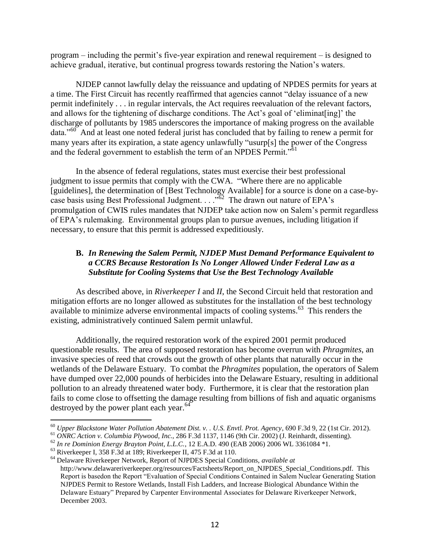program – including the permit's five-year expiration and renewal requirement – is designed to achieve gradual, iterative, but continual progress towards restoring the Nation's waters.

NJDEP cannot lawfully delay the reissuance and updating of NPDES permits for years at a time. The First Circuit has recently reaffirmed that agencies cannot "delay issuance of a new permit indefinitely . . . in regular intervals, the Act requires reevaluation of the relevant factors, and allows for the tightening of discharge conditions. The Act's goal of 'eliminat[ing]' the discharge of pollutants by 1985 underscores the importance of making progress on the available data."<sup>60</sup> And at least one noted federal jurist has concluded that by failing to renew a permit for many years after its expiration, a state agency unlawfully "usurp[s] the power of the Congress and the federal government to establish the term of an NPDES Permit."<sup>61</sup>

In the absence of federal regulations, states must exercise their best professional judgment to issue permits that comply with the CWA. "Where there are no applicable [guidelines], the determination of [Best Technology Available] for a source is done on a case-bycase basis using Best Professional Judgment.  $\ldots$ <sup>62</sup> The drawn out nature of EPA's promulgation of CWIS rules mandates that NJDEP take action now on Salem's permit regardless of EPA's rulemaking. Environmental groups plan to pursue avenues, including litigation if necessary, to ensure that this permit is addressed expeditiously.

# **B.** *In Renewing the Salem Permit, NJDEP Must Demand Performance Equivalent to a CCRS Because Restoration Is No Longer Allowed Under Federal Law as a Substitute for Cooling Systems that Use the Best Technology Available*

As described above, in *Riverkeeper I* and *II*, the Second Circuit held that restoration and mitigation efforts are no longer allowed as substitutes for the installation of the best technology available to minimize adverse environmental impacts of cooling systems.<sup>63</sup> This renders the existing, administratively continued Salem permit unlawful.

Additionally, the required restoration work of the expired 2001 permit produced questionable results. The area of supposed restoration has become overrun with *Phragmites*, an invasive species of reed that crowds out the growth of other plants that naturally occur in the wetlands of the Delaware Estuary. To combat the *Phragmites* population, the operators of Salem have dumped over 22,000 pounds of herbicides into the Delaware Estuary, resulting in additional pollution to an already threatened water body. Furthermore, it is clear that the restoration plan fails to come close to offsetting the damage resulting from billions of fish and aquatic organisms destroyed by the power plant each year. $64$ 

<sup>60</sup> *Upper Blackstone Water Pollution Abatement Dist. v. . U.S. Envtl. Prot. Agency*, 690 F.3d 9, 22 (1st Cir. 2012).

<sup>61</sup> *ONRC Action v. Columbia Plywood, Inc.*, 286 F.3d 1137, 1146 (9th Cir. 2002) (J. Reinhardt, dissenting).

<sup>62</sup> *In re Dominion Energy Brayton Point, L.L.C.*, 12 E.A.D. 490 (EAB 2006) 2006 WL 3361084 \*1.

 $63$  Riverkeeper I, 358 F.3d at 189; Riverkeeper II, 475 F.3d at 110.

<sup>64</sup> Delaware Riverkeeper Network, Report of NJPDES Special Conditions, *available at*  http://www.delawareriverkeeper.org/resources/Factsheets/Report\_on\_NJPDES\_Special\_Conditions.pdf. This Report is basedon the Report "Evaluation of Special Conditions Contained in Salem Nuclear Generating Station NJPDES Permit to Restore Wetlands, Install Fish Ladders, and Increase Biological Abundance Within the Delaware Estuary" Prepared by Carpenter Environmental Associates for Delaware Riverkeeper Network, December 2003.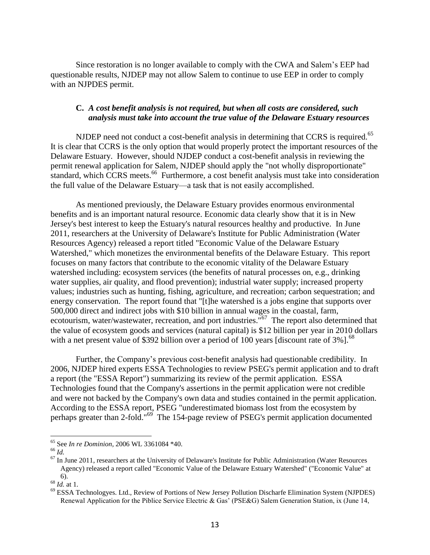Since restoration is no longer available to comply with the CWA and Salem's EEP had questionable results, NJDEP may not allow Salem to continue to use EEP in order to comply with an NJPDES permit.

### **C.** *A cost benefit analysis is not required, but when all costs are considered, such analysis must take into account the true value of the Delaware Estuary resources*

NJDEP need not conduct a cost-benefit analysis in determining that CCRS is required.<sup>65</sup> It is clear that CCRS is the only option that would properly protect the important resources of the Delaware Estuary. However, should NJDEP conduct a cost-benefit analysis in reviewing the permit renewal application for Salem, NJDEP should apply the "not wholly disproportionate" standard, which CCRS meets.<sup>66</sup> Furthermore, a cost benefit analysis must take into consideration the full value of the Delaware Estuary—a task that is not easily accomplished.

As mentioned previously, the Delaware Estuary provides enormous environmental benefits and is an important natural resource. Economic data clearly show that it is in New Jersey's best interest to keep the Estuary's natural resources healthy and productive. In June 2011, researchers at the University of Delaware's Institute for Public Administration (Water Resources Agency) released a report titled "Economic Value of the Delaware Estuary Watershed," which monetizes the environmental benefits of the Delaware Estuary. This report focuses on many factors that contribute to the economic vitality of the Delaware Estuary watershed including: ecosystem services (the benefits of natural processes on, e.g., drinking water supplies, air quality, and flood prevention); industrial water supply; increased property values; industries such as hunting, fishing, agriculture, and recreation; carbon sequestration; and energy conservation. The report found that "[t]he watershed is a jobs engine that supports over 500,000 direct and indirect jobs with \$10 billion in annual wages in the coastal, farm, ecotourism, water/wastewater, recreation, and port industries.<sup>"67</sup> The report also determined that the value of ecosystem goods and services (natural capital) is \$12 billion per year in 2010 dollars with a net present value of \$392 billion over a period of 100 years [discount rate of  $3\%$ ].<sup>68</sup>

Further, the Company's previous cost-benefit analysis had questionable credibility. In 2006, NJDEP hired experts ESSA Technologies to review PSEG's permit application and to draft a report (the "ESSA Report") summarizing its review of the permit application. ESSA Technologies found that the Company's assertions in the permit application were not credible and were not backed by the Company's own data and studies contained in the permit application. According to the ESSA report, PSEG "underestimated biomass lost from the ecosystem by perhaps greater than 2-fold."<sup>69</sup> The 154-page review of PSEG's permit application documented

<sup>65</sup> See *In re Dominion*, 2006 WL 3361084 \*40.

 $66 \overline{1}$ 

 $67$  In June 2011, researchers at the University of Delaware's Institute for Public Administration (Water Resources Agency) released a report called "Economic Value of the Delaware Estuary Watershed" ("Economic Value" at 6).

<sup>68</sup> *Id.* at 1.

<sup>69</sup> ESSA Technologyes. Ltd., Review of Portions of New Jersey Pollution Discharfe Elimination System (NJPDES) Renewal Application for the Piblice Service Electric & Gas' (PSE&G) Salem Generation Station, ix (June 14,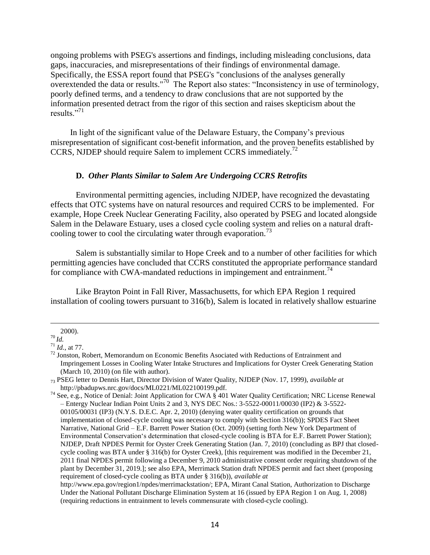ongoing problems with PSEG's assertions and findings, including misleading conclusions, data gaps, inaccuracies, and misrepresentations of their findings of environmental damage. Specifically, the ESSA report found that PSEG's "conclusions of the analyses generally overextended the data or results."<sup>70</sup> The Report also states: "Inconsistency in use of terminology, poorly defined terms, and a tendency to draw conclusions that are not supported by the information presented detract from the rigor of this section and raises skepticism about the results."<sup>71</sup>

In light of the significant value of the Delaware Estuary, the Company's previous misrepresentation of significant cost-benefit information, and the proven benefits established by CCRS, NJDEP should require Salem to implement CCRS immediately.<sup>72</sup>

#### **D.** *Other Plants Similar to Salem Are Undergoing CCRS Retrofits*

Environmental permitting agencies, including NJDEP, have recognized the devastating effects that OTC systems have on natural resources and required CCRS to be implemented. For example, Hope Creek Nuclear Generating Facility, also operated by PSEG and located alongside Salem in the Delaware Estuary, uses a closed cycle cooling system and relies on a natural draftcooling tower to cool the circulating water through evaporation.<sup>73</sup>

Salem is substantially similar to Hope Creek and to a number of other facilities for which permitting agencies have concluded that CCRS constituted the appropriate performance standard for compliance with CWA-mandated reductions in impingement and entrainment.<sup>74</sup>

Like Brayton Point in Fall River, Massachusetts, for which EPA Region 1 required installation of cooling towers pursuant to 316(b), Salem is located in relatively shallow estuarine

<sup>2000).</sup>

<sup>70</sup> *Id.*

 $^{71}$ *Id.*, at 77.

<sup>&</sup>lt;sup>72</sup> Jonston, Robert, Memorandum on Economic Benefits Asociated with Reductions of Entrainment and Impringement Losses in Cooling Water Intake Structures and Implications for Oyster Creek Generating Station (March 10, 2010) (on file with author).

<sup>73</sup> PSEG letter to Dennis Hart, Director Division of Water Quality, NJDEP (Nov. 17, 1999), *available at* http://pbadupws.nrc.gov/docs/ML0221/ML022100199.pdf.

<sup>&</sup>lt;sup>74</sup> See, e.g., Notice of Denial: Joint Application for CWA § 401 Water Quality Certification; NRC License Renewal – Entergy Nuclear Indian Point Units 2 and 3, NYS DEC Nos.: 3-5522-00011/00030 (IP2) & 3-5522- 00105/00031 (IP3) (N.Y.S. D.E.C. Apr. 2, 2010) (denying water quality certification on grounds that implementation of closed-cycle cooling was necessary to comply with Section 316(b)); SPDES Fact Sheet Narrative, National Grid – E.F. Barrett Power Station (Oct. 2009) (setting forth New York Department of Environmental Conservation's determination that closed-cycle cooling is BTA for E.F. Barrett Power Station); NJDEP, Draft NPDES Permit for Oyster Creek Generating Station (Jan. 7, 2010) (concluding as BPJ that closedcycle cooling was BTA under § 316(b) for Oyster Creek), [this requirement was modified in the December 21, 2011 final NPDES permit following a December 9, 2010 administrative consent order requiring shutdown of the plant by December 31, 2019.]; see also EPA, Merrimack Station draft NPDES permit and fact sheet (proposing requirement of closed-cycle cooling as BTA under § 316(b)), *available at*

http://www.epa.gov/region1/npdes/merrimackstation/; EPA, Mirant Canal Station, Authorization to Discharge Under the National Pollutant Discharge Elimination System at 16 (issued by EPA Region 1 on Aug. 1, 2008) (requiring reductions in entrainment to levels commensurate with closed-cycle cooling).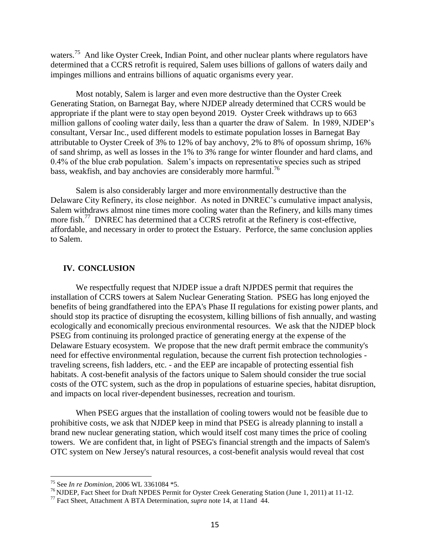waters.<sup>75</sup> And like Oyster Creek, Indian Point, and other nuclear plants where regulators have determined that a CCRS retrofit is required, Salem uses billions of gallons of waters daily and impinges millions and entrains billions of aquatic organisms every year.

Most notably, Salem is larger and even more destructive than the Oyster Creek Generating Station, on Barnegat Bay, where NJDEP already determined that CCRS would be appropriate if the plant were to stay open beyond 2019. Oyster Creek withdraws up to 663 million gallons of cooling water daily, less than a quarter the draw of Salem. In 1989, NJDEP's consultant, Versar Inc., used different models to estimate population losses in Barnegat Bay attributable to Oyster Creek of 3% to 12% of bay anchovy, 2% to 8% of opossum shrimp, 16% of sand shrimp, as well as losses in the 1% to 3% range for winter flounder and hard clams, and 0.4% of the blue crab population. Salem's impacts on representative species such as striped bass, weakfish, and bay anchovies are considerably more harmful.<sup>76</sup>

Salem is also considerably larger and more environmentally destructive than the Delaware City Refinery, its close neighbor. As noted in DNREC's cumulative impact analysis, Salem withdraws almost nine times more cooling water than the Refinery, and kills many times more fish.<sup>77</sup> DNREC has determined that a CCRS retrofit at the Refinery is cost-effective, affordable, and necessary in order to protect the Estuary. Perforce, the same conclusion applies to Salem.

#### **IV. CONCLUSION**

We respectfully request that NJDEP issue a draft NJPDES permit that requires the installation of CCRS towers at Salem Nuclear Generating Station. PSEG has long enjoyed the benefits of being grandfathered into the EPA's Phase II regulations for existing power plants, and should stop its practice of disrupting the ecosystem, killing billions of fish annually, and wasting ecologically and economically precious environmental resources. We ask that the NJDEP block PSEG from continuing its prolonged practice of generating energy at the expense of the Delaware Estuary ecosystem. We propose that the new draft permit embrace the community's need for effective environmental regulation, because the current fish protection technologies traveling screens, fish ladders, etc. - and the EEP are incapable of protecting essential fish habitats. A cost-benefit analysis of the factors unique to Salem should consider the true social costs of the OTC system, such as the drop in populations of estuarine species, habitat disruption, and impacts on local river-dependent businesses, recreation and tourism.

When PSEG argues that the installation of cooling towers would not be feasible due to prohibitive costs, we ask that NJDEP keep in mind that PSEG is already planning to install a brand new nuclear generating station, which would itself cost many times the price of cooling towers. We are confident that, in light of PSEG's financial strength and the impacts of Salem's OTC system on New Jersey's natural resources, a cost-benefit analysis would reveal that cost

<sup>75</sup> See *In re Dominion*, 2006 WL 3361084 \*5.

<sup>76</sup> NJDEP, Fact Sheet for Draft NPDES Permit for Oyster Creek Generating Station (June 1, 2011) at 11-12.

<sup>77</sup> Fact Sheet, Attachment A BTA Determination, *supra* note 14, at 11and 44.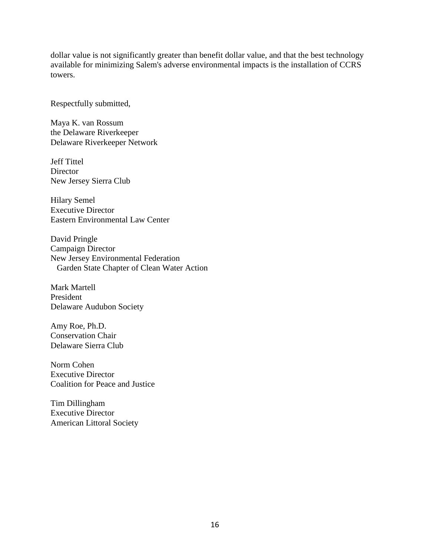dollar value is not significantly greater than benefit dollar value, and that the best technology available for minimizing Salem's adverse environmental impacts is the installation of CCRS towers.

Respectfully submitted,

Maya K. van Rossum the Delaware Riverkeeper Delaware Riverkeeper Network

Jeff Tittel **Director** New Jersey Sierra Club

Hilary Semel Executive Director Eastern Environmental Law Center

David Pringle Campaign Director New Jersey Environmental Federation Garden State Chapter of Clean Water Action

Mark Martell President Delaware Audubon Society

Amy Roe, Ph.D. Conservation Chair Delaware Sierra Club

Norm Cohen Executive Director Coalition for Peace and Justice

Tim Dillingham Executive Director American Littoral Society